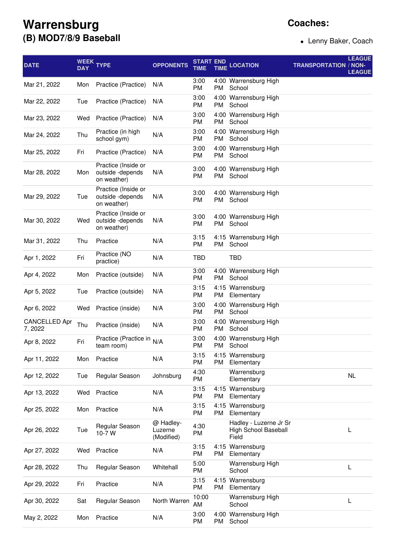## **Warrensburg (B) MOD7/8/9 Baseball**

## **Coaches:**

Lenny Baker, Coach

| <b>DATE</b>                     | <b>DAY</b> | WEEK TYPE                                              | <b>OPPONENTS</b>                   | START END<br>TIME |    | <b>TIME LOCATION</b>                                    | <b>TRANSPORTATION / NON-</b> | <b>LEAGUE</b><br><b>LEAGUE</b> |
|---------------------------------|------------|--------------------------------------------------------|------------------------------------|-------------------|----|---------------------------------------------------------|------------------------------|--------------------------------|
| Mar 21, 2022                    | Mon        | Practice (Practice)                                    | N/A                                | 3:00<br>PM        | PM | 4:00 Warrensburg High<br>School                         |                              |                                |
| Mar 22, 2022                    | Tue        | Practice (Practice)                                    | N/A                                | 3:00<br><b>PM</b> | PM | 4:00 Warrensburg High<br>School                         |                              |                                |
| Mar 23, 2022                    | Wed        | Practice (Practice)                                    | N/A                                | 3:00<br><b>PM</b> | PM | 4:00 Warrensburg High<br>School                         |                              |                                |
| Mar 24, 2022                    | Thu        | Practice (in high<br>school gym)                       | N/A                                | 3:00<br><b>PM</b> | PM | 4:00 Warrensburg High<br>School                         |                              |                                |
| Mar 25, 2022                    | Fri        | Practice (Practice)                                    | N/A                                | 3:00<br>PM        | PM | 4:00 Warrensburg High<br>School                         |                              |                                |
| Mar 28, 2022                    | Mon        | Practice (Inside or<br>outside -depends<br>on weather) | N/A                                | 3:00<br>PM        | PM | 4:00 Warrensburg High<br>School                         |                              |                                |
| Mar 29, 2022                    | Tue        | Practice (Inside or<br>outside -depends<br>on weather) | N/A                                | 3:00<br>PM        |    | 4:00 Warrensburg High<br>PM School                      |                              |                                |
| Mar 30, 2022                    | Wed        | Practice (Inside or<br>outside -depends<br>on weather) | N/A                                | 3:00<br>PM        | PM | 4:00 Warrensburg High<br>School                         |                              |                                |
| Mar 31, 2022                    | Thu        | Practice                                               | N/A                                | 3:15<br><b>PM</b> | PM | 4:15 Warrensburg High<br>School                         |                              |                                |
| Apr 1, 2022                     | Fri        | Practice (NO<br>practice)                              | N/A                                | TBD               |    | <b>TBD</b>                                              |                              |                                |
| Apr 4, 2022                     | Mon        | Practice (outside)                                     | N/A                                | 3:00<br>PM        | PM | 4:00 Warrensburg High<br>School                         |                              |                                |
| Apr 5, 2022                     | Tue        | Practice (outside)                                     | N/A                                | 3:15<br>PM        | PM | 4:15 Warrensburg<br>Elementary                          |                              |                                |
| Apr 6, 2022                     | Wed        | Practice (inside)                                      | N/A                                | 3:00<br>PM        | PM | 4:00 Warrensburg High<br>School                         |                              |                                |
| <b>CANCELLED Apr</b><br>7, 2022 | Thu        | Practice (inside)                                      | N/A                                | 3:00<br>PM        | PM | 4:00 Warrensburg High<br>School                         |                              |                                |
| Apr 8, 2022                     | Fri        | Practice (Practice in<br>team room)                    | N/A                                | 3:00<br><b>PM</b> |    | 4:00 Warrensburg High<br>PM School                      |                              |                                |
| Apr 11, 2022                    | Mon        | Practice                                               | N/A                                | 3:15<br><b>PM</b> | PM | 4:15 Warrensburg<br>Elementary                          |                              |                                |
| Apr 12, 2022                    | Tue        | Regular Season                                         | Johnsburg                          | 4:30<br><b>PM</b> |    | Warrensburg<br>Elementary                               |                              | <b>NL</b>                      |
| Apr 13, 2022                    | Wed        | Practice                                               | N/A                                | 3:15<br><b>PM</b> | PM | 4:15 Warrensburg<br>Elementary                          |                              |                                |
| Apr 25, 2022                    | Mon        | Practice                                               | N/A                                | 3:15<br>PM        | PM | 4:15 Warrensburg<br>Elementary                          |                              |                                |
| Apr 26, 2022                    | Tue        | Regular Season<br>10-7 W                               | @ Hadley-<br>Luzerne<br>(Modified) | 4:30<br>PM        |    | Hadley - Luzerne Jr Sr<br>High School Baseball<br>Field |                              | L                              |
| Apr 27, 2022                    | Wed        | Practice                                               | N/A                                | 3:15<br><b>PM</b> | PM | 4:15 Warrensburg<br>Elementary                          |                              |                                |
| Apr 28, 2022                    | Thu        | Regular Season                                         | Whitehall                          | 5:00<br><b>PM</b> |    | Warrensburg High<br>School                              |                              | L                              |
| Apr 29, 2022                    | Fri        | Practice                                               | N/A                                | 3:15<br>PM        | PM | 4:15 Warrensburg<br>Elementary                          |                              |                                |
| Apr 30, 2022                    | Sat        | Regular Season                                         | North Warren                       | 10:00<br>AM       |    | Warrensburg High<br>School                              |                              | L                              |
| May 2, 2022                     | Mon        | Practice                                               | N/A                                | 3:00<br>PM        | PM | 4:00 Warrensburg High<br>School                         |                              |                                |